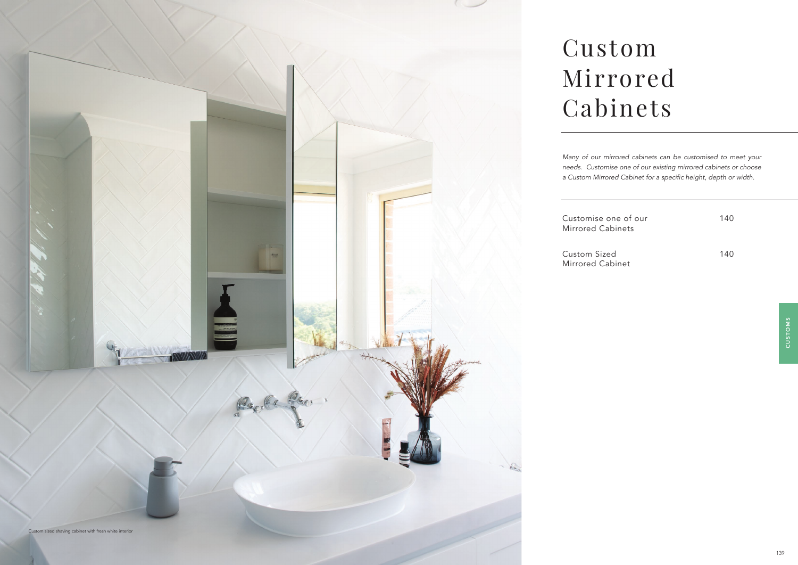

Customise one of our 140 140

# Custom Mirrored Cabinets

CUSTOMS CUSTOMS

*Many of our mirrored cabinets can be customised to meet your needs. Customise one of our existing mirrored cabinets or choose*  a Custom Mirrored Cabinet for a specific height, depth or width.